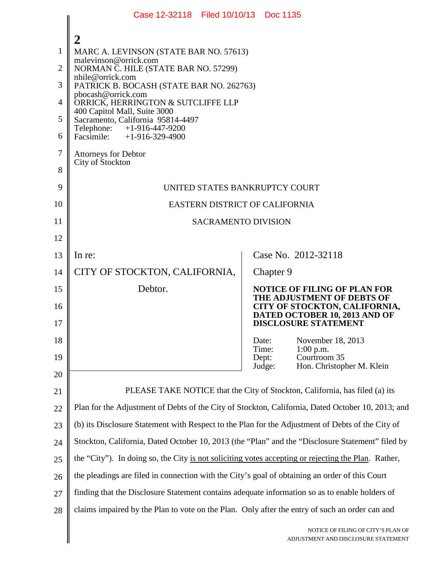|                                                         | Case 12-32118 Filed 10/10/13 Doc 1135                                                                                                                                                                                                                                                                                                                                                                    |                                                                                                                                     |
|---------------------------------------------------------|----------------------------------------------------------------------------------------------------------------------------------------------------------------------------------------------------------------------------------------------------------------------------------------------------------------------------------------------------------------------------------------------------------|-------------------------------------------------------------------------------------------------------------------------------------|
| $\mathbf{1}$<br>2<br>3<br>4<br>5<br>6<br>$\overline{7}$ | MARC A. LEVINSON (STATE BAR NO. 57613)<br>malevinson@orrick.com<br>NORMAN C. HILE (STATE BAR NO. 57299)<br>nhile@orrick.com<br>PATRICK B. BOCASH (STATE BAR NO. 262763)<br>pbocash@orrick.com<br>ORRICK, HERRINGTON & SUTCLIFFE LLP<br>400 Capitol Mall, Suite 3000<br>Sacramento, California 95814-4497<br>Telephone:<br>+1-916-447-9200<br>Facsimile: $+1-916-329-4900$<br><b>Attorneys for Debtor</b> |                                                                                                                                     |
| 8                                                       | City of Stockton                                                                                                                                                                                                                                                                                                                                                                                         |                                                                                                                                     |
| 9                                                       | UNITED STATES BANKRUPTCY COURT                                                                                                                                                                                                                                                                                                                                                                           |                                                                                                                                     |
| 10                                                      | <b>EASTERN DISTRICT OF CALIFORNIA</b>                                                                                                                                                                                                                                                                                                                                                                    |                                                                                                                                     |
| 11                                                      | <b>SACRAMENTO DIVISION</b>                                                                                                                                                                                                                                                                                                                                                                               |                                                                                                                                     |
| 12                                                      |                                                                                                                                                                                                                                                                                                                                                                                                          |                                                                                                                                     |
| 13                                                      | In re:                                                                                                                                                                                                                                                                                                                                                                                                   | Case No. 2012-32118                                                                                                                 |
| 14                                                      | CITY OF STOCKTON, CALIFORNIA,                                                                                                                                                                                                                                                                                                                                                                            | Chapter 9                                                                                                                           |
| 15<br>16                                                | Debtor.                                                                                                                                                                                                                                                                                                                                                                                                  | <b>NOTICE OF FILING OF PLAN FOR</b><br>THE ADJUSTMENT OF DEBTS OF<br>CITY OF STOCKTON, CALIFORNIA,<br>DATED OCTOBER 10, 2013 AND OF |
| 17                                                      |                                                                                                                                                                                                                                                                                                                                                                                                          | <b>DISCLOSURE STATEMENT</b>                                                                                                         |
| 18                                                      |                                                                                                                                                                                                                                                                                                                                                                                                          | Date:<br>November 18, 2013<br>Time:<br>$1:00$ p.m.                                                                                  |
| 19                                                      |                                                                                                                                                                                                                                                                                                                                                                                                          | Courtroom 35<br>Dept:<br>Hon. Christopher M. Klein<br>Judge:                                                                        |
| 20<br>21                                                | PLEASE TAKE NOTICE that the City of Stockton, California, has filed (a) its                                                                                                                                                                                                                                                                                                                              |                                                                                                                                     |
| 22                                                      | Plan for the Adjustment of Debts of the City of Stockton, California, Dated October 10, 2013; and                                                                                                                                                                                                                                                                                                        |                                                                                                                                     |
| 23                                                      | (b) its Disclosure Statement with Respect to the Plan for the Adjustment of Debts of the City of                                                                                                                                                                                                                                                                                                         |                                                                                                                                     |
| 24                                                      | Stockton, California, Dated October 10, 2013 (the "Plan" and the "Disclosure Statement" filed by                                                                                                                                                                                                                                                                                                         |                                                                                                                                     |
| 25                                                      | the "City"). In doing so, the City is not soliciting votes accepting or rejecting the Plan. Rather,                                                                                                                                                                                                                                                                                                      |                                                                                                                                     |
| 26                                                      | the pleadings are filed in connection with the City's goal of obtaining an order of this Court                                                                                                                                                                                                                                                                                                           |                                                                                                                                     |
| 27                                                      | finding that the Disclosure Statement contains adequate information so as to enable holders of                                                                                                                                                                                                                                                                                                           |                                                                                                                                     |
| 28                                                      | claims impaired by the Plan to vote on the Plan. Only after the entry of such an order can and                                                                                                                                                                                                                                                                                                           |                                                                                                                                     |
|                                                         | NOTICE OF FILING OF CITY'S PLAN OF<br>ADJUSTMENT AND DISCLOSURE STATEMENT                                                                                                                                                                                                                                                                                                                                |                                                                                                                                     |